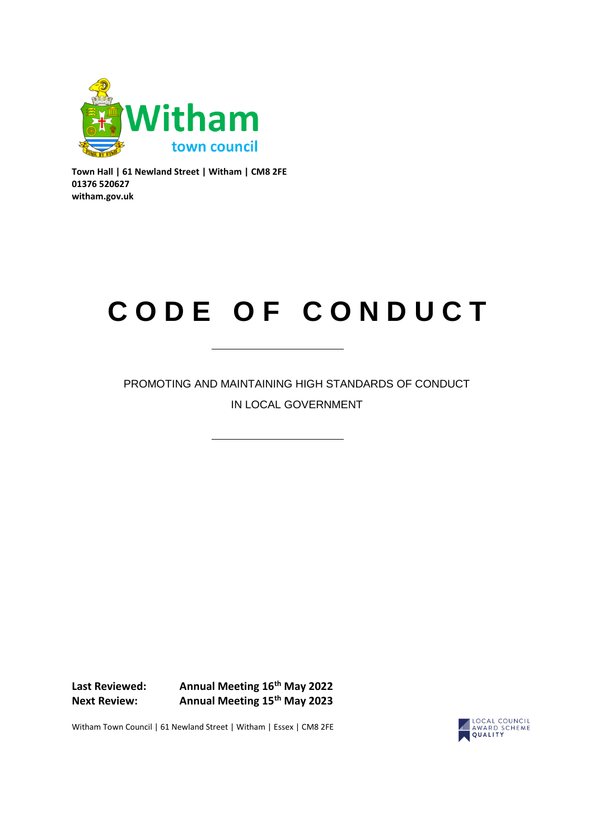

**Town Hall | 61 Newland Street | Witham | CM8 2FE 01376 520627 witham.gov.uk**

# **C O D E O F C O N D U C T**

PROMOTING AND MAINTAINING HIGH STANDARDS OF CONDUCT IN LOCAL GOVERNMENT

**Last Reviewed: Annual Meeting 16th May 2022 Next Review: Annual Meeting 15th May 2023**



Witham Town Council | 61 Newland Street | Witham | Essex | CM8 2FE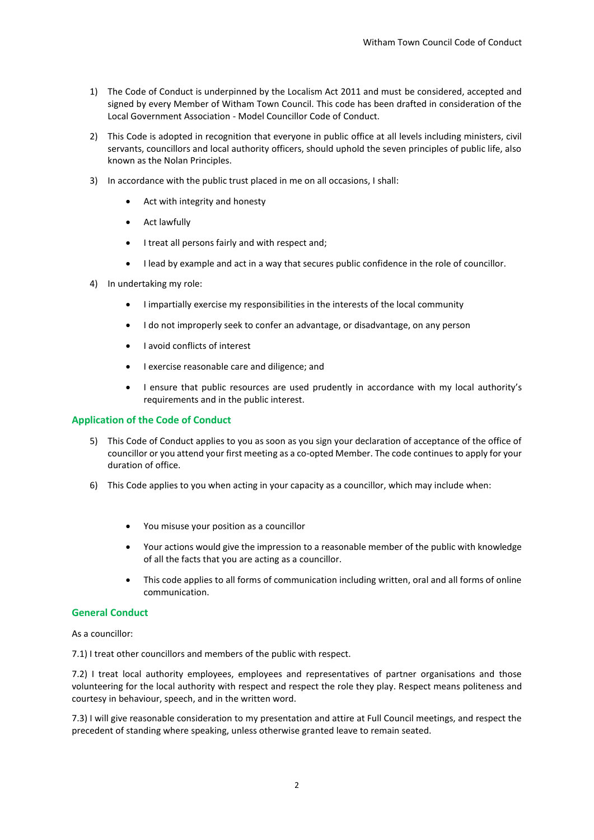- 1) The Code of Conduct is underpinned by the Localism Act 2011 and must be considered, accepted and signed by every Member of Witham Town Council. This code has been drafted in consideration of the Local Government Association - Model Councillor Code of Conduct.
- 2) This Code is adopted in recognition that everyone in public office at all levels including ministers, civil servants, councillors and local authority officers, should uphold the seven principles of public life, also known as the Nolan Principles.
- 3) In accordance with the public trust placed in me on all occasions, I shall:
	- Act with integrity and honesty
	- Act lawfully
	- I treat all persons fairly and with respect and;
	- I lead by example and act in a way that secures public confidence in the role of councillor.
- 4) In undertaking my role:
	- I impartially exercise my responsibilities in the interests of the local community
	- I do not improperly seek to confer an advantage, or disadvantage, on any person
	- I avoid conflicts of interest
	- I exercise reasonable care and diligence; and
	- I ensure that public resources are used prudently in accordance with my local authority's requirements and in the public interest.

## **Application of the Code of Conduct**

- 5) This Code of Conduct applies to you as soon as you sign your declaration of acceptance of the office of councillor or you attend your first meeting as a co-opted Member. The code continues to apply for your duration of office.
- 6) This Code applies to you when acting in your capacity as a councillor, which may include when:
	- You misuse your position as a councillor
	- Your actions would give the impression to a reasonable member of the public with knowledge of all the facts that you are acting as a councillor.
	- This code applies to all forms of communication including written, oral and all forms of online communication.

#### **General Conduct**

As a councillor:

7.1) I treat other councillors and members of the public with respect.

7.2) I treat local authority employees, employees and representatives of partner organisations and those volunteering for the local authority with respect and respect the role they play. Respect means politeness and courtesy in behaviour, speech, and in the written word.

7.3) I will give reasonable consideration to my presentation and attire at Full Council meetings, and respect the precedent of standing where speaking, unless otherwise granted leave to remain seated.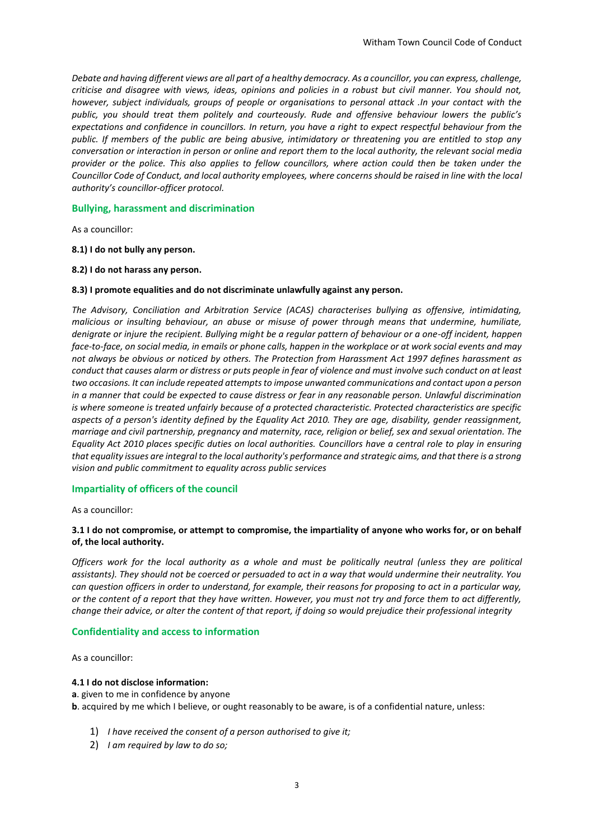*Debate and having different views are all part of a healthy democracy. As a councillor, you can express, challenge, criticise and disagree with views, ideas, opinions and policies in a robust but civil manner. You should not, however, subject individuals, groups of people or organisations to personal attack .In your contact with the public, you should treat them politely and courteously. Rude and offensive behaviour lowers the public's expectations and confidence in councillors. In return, you have a right to expect respectful behaviour from the public. If members of the public are being abusive, intimidatory or threatening you are entitled to stop any conversation or interaction in person or online and report them to the local authority, the relevant social media provider or the police. This also applies to fellow councillors, where action could then be taken under the Councillor Code of Conduct, and local authority employees, where concerns should be raised in line with the local authority's councillor-officer protocol.*

## **Bullying, harassment and discrimination**

As a councillor:

#### **8.1) I do not bully any person.**

#### **8.2) I do not harass any person.**

#### **8.3) I promote equalities and do not discriminate unlawfully against any person.**

*The Advisory, Conciliation and Arbitration Service (ACAS) characterises bullying as offensive, intimidating, malicious or insulting behaviour, an abuse or misuse of power through means that undermine, humiliate, denigrate or injure the recipient. Bullying might be a regular pattern of behaviour or a one-off incident, happen face-to-face, on social media, in emails or phone calls, happen in the workplace or at work social events and may not always be obvious or noticed by others. The Protection from Harassment Act 1997 defines harassment as conduct that causes alarm or distress or puts people in fear of violence and must involve such conduct on at least two occasions. It can include repeated attempts to impose unwanted communications and contact upon a person in a manner that could be expected to cause distress or fear in any reasonable person. Unlawful discrimination is where someone is treated unfairly because of a protected characteristic. Protected characteristics are specific aspects of a person's identity defined by the Equality Act 2010. They are age, disability, gender reassignment, marriage and civil partnership, pregnancy and maternity, race, religion or belief, sex and sexual orientation. The Equality Act 2010 places specific duties on local authorities. Councillors have a central role to play in ensuring that equality issues are integral to the local authority's performance and strategic aims, and that there is a strong vision and public commitment to equality across public services*

#### **Impartiality of officers of the council**

As a councillor:

#### **3.1 I do not compromise, or attempt to compromise, the impartiality of anyone who works for, or on behalf of, the local authority.**

*Officers work for the local authority as a whole and must be politically neutral (unless they are political assistants). They should not be coerced or persuaded to act in a way that would undermine their neutrality. You can question officers in order to understand, for example, their reasons for proposing to act in a particular way, or the content of a report that they have written. However, you must not try and force them to act differently, change their advice, or alter the content of that report, if doing so would prejudice their professional integrity*

#### **Confidentiality and access to information**

As a councillor:

#### **4.1 I do not disclose information:**

#### **a**. given to me in confidence by anyone

**b**. acquired by me which I believe, or ought reasonably to be aware, is of a confidential nature, unless:

- 1) *I have received the consent of a person authorised to give it;*
- 2) *I am required by law to do so;*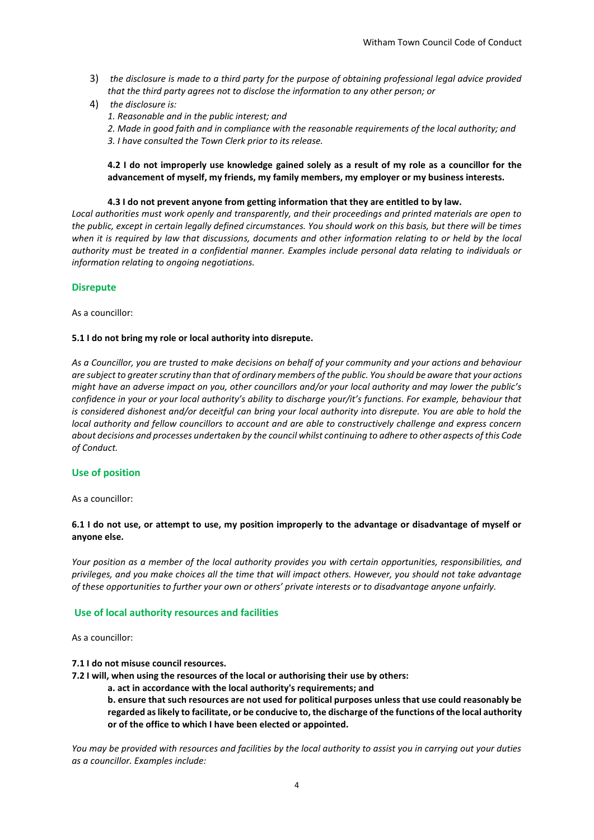- 3) *the disclosure is made to a third party for the purpose of obtaining professional legal advice provided that the third party agrees not to disclose the information to any other person; or*
- 4) *the disclosure is:* 
	- *1. Reasonable and in the public interest; and*
	- *2. Made in good faith and in compliance with the reasonable requirements of the local authority; and*
	- *3. I have consulted the Town Clerk prior to its release.*

#### **4.2 I do not improperly use knowledge gained solely as a result of my role as a councillor for the advancement of myself, my friends, my family members, my employer or my business interests.**

#### **4.3 I do not prevent anyone from getting information that they are entitled to by law.**

*Local authorities must work openly and transparently, and their proceedings and printed materials are open to the public, except in certain legally defined circumstances. You should work on this basis, but there will be times*  when it is required by law that discussions, documents and other information relating to or held by the local *authority must be treated in a confidential manner. Examples include personal data relating to individuals or information relating to ongoing negotiations.*

#### **Disrepute**

As a councillor:

#### **5.1 I do not bring my role or local authority into disrepute.**

*As a Councillor, you are trusted to make decisions on behalf of your community and your actions and behaviour are subject to greater scrutiny than that of ordinary members of the public. You should be aware that your actions might have an adverse impact on you, other councillors and/or your local authority and may lower the public's confidence in your or your local authority's ability to discharge your/it's functions. For example, behaviour that is considered dishonest and/or deceitful can bring your local authority into disrepute. You are able to hold the local authority and fellow councillors to account and are able to constructively challenge and express concern about decisions and processes undertaken by the council whilst continuing to adhere to other aspects of this Code of Conduct.*

#### **Use of position**

As a councillor:

#### **6.1 I do not use, or attempt to use, my position improperly to the advantage or disadvantage of myself or anyone else.**

*Your position as a member of the local authority provides you with certain opportunities, responsibilities, and privileges, and you make choices all the time that will impact others. However, you should not take advantage of these opportunities to further your own or others' private interests or to disadvantage anyone unfairly.* 

#### **Use of local authority resources and facilities**

As a councillor:

- **7.1 I do not misuse council resources.**
- **7.2 I will, when using the resources of the local or authorising their use by others:** 
	- **a. act in accordance with the local authority's requirements; and**

**b. ensure that such resources are not used for political purposes unless that use could reasonably be regarded as likely to facilitate, or be conducive to, the discharge of the functions of the local authority or of the office to which I have been elected or appointed.** 

*You may be provided with resources and facilities by the local authority to assist you in carrying out your duties as a councillor. Examples include:*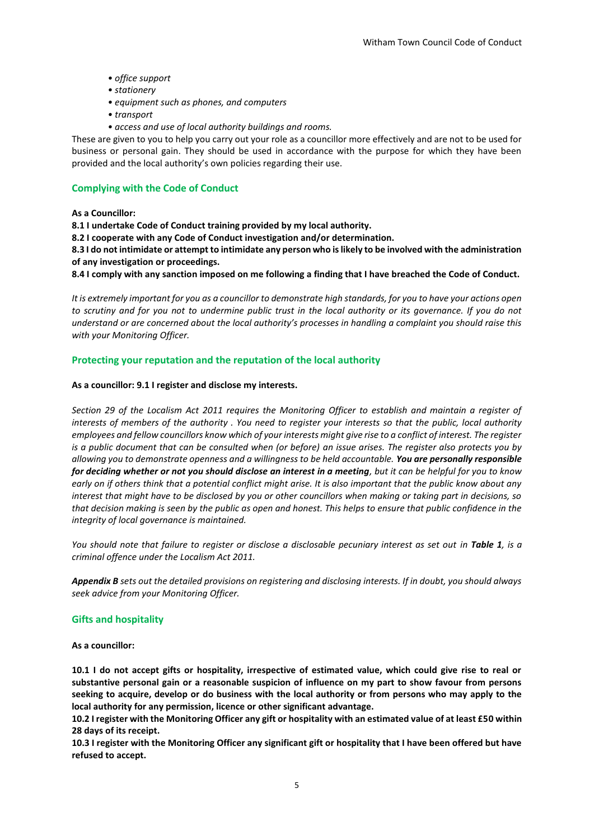- *office support*
- *stationery*
- *equipment such as phones, and computers*
- *transport*
- *access and use of local authority buildings and rooms.*

These are given to you to help you carry out your role as a councillor more effectively and are not to be used for business or personal gain. They should be used in accordance with the purpose for which they have been provided and the local authority's own policies regarding their use.

# **Complying with the Code of Conduct**

**As a Councillor:** 

**8.1 I undertake Code of Conduct training provided by my local authority.** 

**8.2 I cooperate with any Code of Conduct investigation and/or determination.** 

**8.3 I do not intimidate or attempt to intimidate any person who is likely to be involved with the administration of any investigation or proceedings.** 

**8.4 I comply with any sanction imposed on me following a finding that I have breached the Code of Conduct.** 

*It is extremely important for you as a councillor to demonstrate high standards, for you to have your actions open to scrutiny and for you not to undermine public trust in the local authority or its governance. If you do not understand or are concerned about the local authority's processes in handling a complaint you should raise this with your Monitoring Officer.*

## **Protecting your reputation and the reputation of the local authority**

#### **As a councillor: 9.1 I register and disclose my interests.**

*Section 29 of the Localism Act 2011 requires the Monitoring Officer to establish and maintain a register of interests of members of the authority . You need to register your interests so that the public, local authority employees and fellow councillors know which of your interests might give rise to a conflict of interest. The register is a public document that can be consulted when (or before) an issue arises. The register also protects you by allowing you to demonstrate openness and a willingness to be held accountable. You are personally responsible for deciding whether or not you should disclose an interest in a meeting, but it can be helpful for you to know early on if others think that a potential conflict might arise. It is also important that the public know about any interest that might have to be disclosed by you or other councillors when making or taking part in decisions, so that decision making is seen by the public as open and honest. This helps to ensure that public confidence in the integrity of local governance is maintained.* 

*You should note that failure to register or disclose a disclosable pecuniary interest as set out in Table 1, is a criminal offence under the Localism Act 2011.* 

*Appendix B sets out the detailed provisions on registering and disclosing interests. If in doubt, you should always seek advice from your Monitoring Officer.*

#### **Gifts and hospitality**

**As a councillor:** 

**10.1 I do not accept gifts or hospitality, irrespective of estimated value, which could give rise to real or substantive personal gain or a reasonable suspicion of influence on my part to show favour from persons seeking to acquire, develop or do business with the local authority or from persons who may apply to the local authority for any permission, licence or other significant advantage.** 

**10.2 I register with the Monitoring Officer any gift or hospitality with an estimated value of at least £50 within 28 days of its receipt.** 

**10.3 I register with the Monitoring Officer any significant gift or hospitality that I have been offered but have refused to accept.**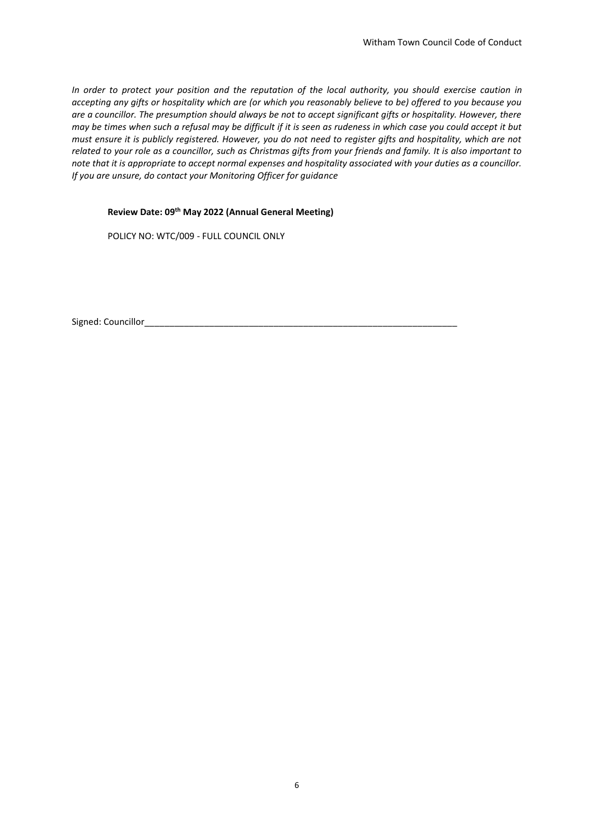*In order to protect your position and the reputation of the local authority, you should exercise caution in accepting any gifts or hospitality which are (or which you reasonably believe to be) offered to you because you are a councillor. The presumption should always be not to accept significant gifts or hospitality. However, there may be times when such a refusal may be difficult if it is seen as rudeness in which case you could accept it but must ensure it is publicly registered. However, you do not need to register gifts and hospitality, which are not related to your role as a councillor, such as Christmas gifts from your friends and family. It is also important to note that it is appropriate to accept normal expenses and hospitality associated with your duties as a councillor. If you are unsure, do contact your Monitoring Officer for guidance*

## **Review Date: 09th May 2022 (Annual General Meeting)**

POLICY NO: WTC/009 - FULL COUNCIL ONLY

Signed: Councillor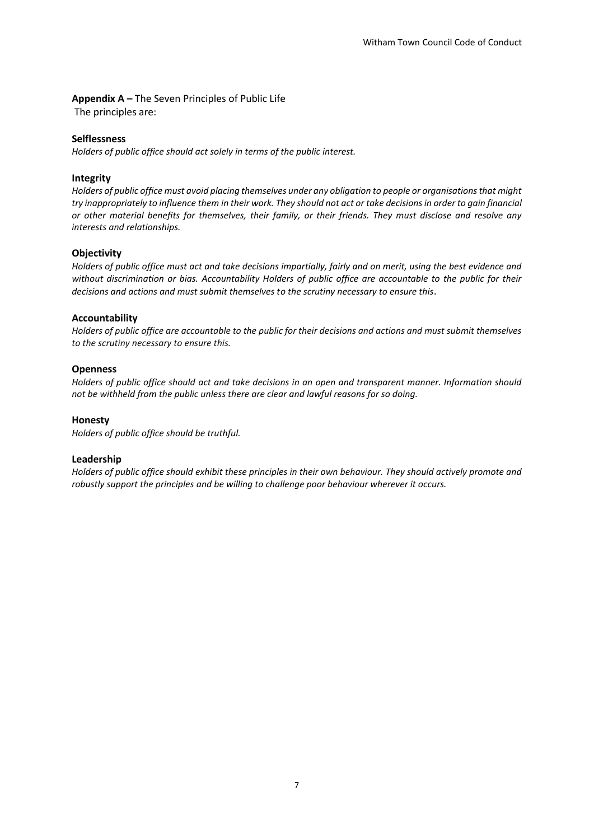# **Appendix A –** The Seven Principles of Public Life

The principles are:

## **Selflessness**

*Holders of public office should act solely in terms of the public interest.* 

## **Integrity**

*Holders of public office must avoid placing themselves under any obligation to people or organisations that might try inappropriately to influence them in their work. They should not act or take decisions in order to gain financial or other material benefits for themselves, their family, or their friends. They must disclose and resolve any interests and relationships.* 

# **Objectivity**

*Holders of public office must act and take decisions impartially, fairly and on merit, using the best evidence and without discrimination or bias. Accountability Holders of public office are accountable to the public for their decisions and actions and must submit themselves to the scrutiny necessary to ensure this*.

## **Accountability**

*Holders of public office are accountable to the public for their decisions and actions and must submit themselves to the scrutiny necessary to ensure this.*

## **Openness**

*Holders of public office should act and take decisions in an open and transparent manner. Information should not be withheld from the public unless there are clear and lawful reasons for so doing.*

#### **Honesty**

*Holders of public office should be truthful.* 

#### **Leadership**

*Holders of public office should exhibit these principles in their own behaviour. They should actively promote and robustly support the principles and be willing to challenge poor behaviour wherever it occurs.*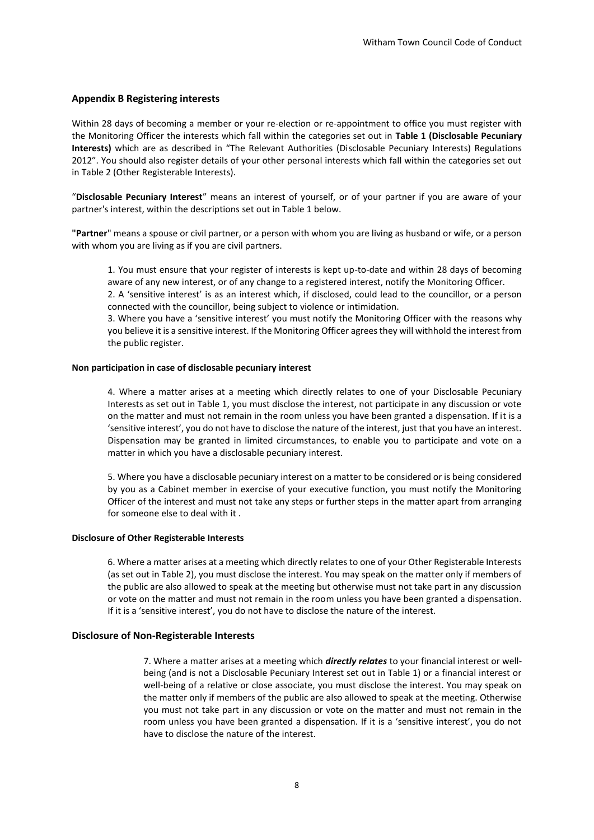#### **Appendix B Registering interests**

Within 28 days of becoming a member or your re-election or re-appointment to office you must register with the Monitoring Officer the interests which fall within the categories set out in **Table 1 (Disclosable Pecuniary Interests)** which are as described in "The Relevant Authorities (Disclosable Pecuniary Interests) Regulations 2012". You should also register details of your other personal interests which fall within the categories set out in Table 2 (Other Registerable Interests).

"**Disclosable Pecuniary Interest**" means an interest of yourself, or of your partner if you are aware of your partner's interest, within the descriptions set out in Table 1 below.

**"Partner**" means a spouse or civil partner, or a person with whom you are living as husband or wife, or a person with whom you are living as if you are civil partners.

1. You must ensure that your register of interests is kept up-to-date and within 28 days of becoming aware of any new interest, or of any change to a registered interest, notify the Monitoring Officer.

2. A 'sensitive interest' is as an interest which, if disclosed, could lead to the councillor, or a person connected with the councillor, being subject to violence or intimidation.

3. Where you have a 'sensitive interest' you must notify the Monitoring Officer with the reasons why you believe it is a sensitive interest. If the Monitoring Officer agrees they will withhold the interest from the public register.

#### **Non participation in case of disclosable pecuniary interest**

4. Where a matter arises at a meeting which directly relates to one of your Disclosable Pecuniary Interests as set out in Table 1, you must disclose the interest, not participate in any discussion or vote on the matter and must not remain in the room unless you have been granted a dispensation. If it is a 'sensitive interest', you do not have to disclose the nature of the interest, just that you have an interest. Dispensation may be granted in limited circumstances, to enable you to participate and vote on a matter in which you have a disclosable pecuniary interest.

5. Where you have a disclosable pecuniary interest on a matter to be considered or is being considered by you as a Cabinet member in exercise of your executive function, you must notify the Monitoring Officer of the interest and must not take any steps or further steps in the matter apart from arranging for someone else to deal with it

#### **Disclosure of Other Registerable Interests**

6. Where a matter arises at a meeting which directly relates to one of your Other Registerable Interests (as set out in Table 2), you must disclose the interest. You may speak on the matter only if members of the public are also allowed to speak at the meeting but otherwise must not take part in any discussion or vote on the matter and must not remain in the room unless you have been granted a dispensation. If it is a 'sensitive interest', you do not have to disclose the nature of the interest.

#### **Disclosure of Non-Registerable Interests**

7. Where a matter arises at a meeting which *directly relates* to your financial interest or wellbeing (and is not a Disclosable Pecuniary Interest set out in Table 1) or a financial interest or well-being of a relative or close associate, you must disclose the interest. You may speak on the matter only if members of the public are also allowed to speak at the meeting. Otherwise you must not take part in any discussion or vote on the matter and must not remain in the room unless you have been granted a dispensation. If it is a 'sensitive interest', you do not have to disclose the nature of the interest.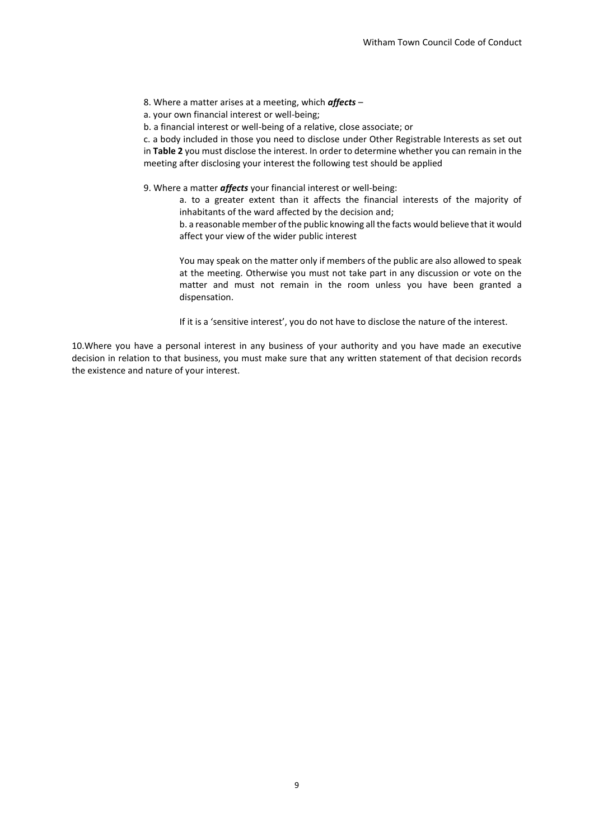- 8. Where a matter arises at a meeting, which *affects* –
- a. your own financial interest or well-being;
- b. a financial interest or well-being of a relative, close associate; or

c. a body included in those you need to disclose under Other Registrable Interests as set out in **Table 2** you must disclose the interest. In order to determine whether you can remain in the meeting after disclosing your interest the following test should be applied

9. Where a matter *affects* your financial interest or well-being:

a. to a greater extent than it affects the financial interests of the majority of inhabitants of the ward affected by the decision and;

b. a reasonable member of the public knowing all the facts would believe that it would affect your view of the wider public interest

You may speak on the matter only if members of the public are also allowed to speak at the meeting. Otherwise you must not take part in any discussion or vote on the matter and must not remain in the room unless you have been granted a dispensation.

If it is a 'sensitive interest', you do not have to disclose the nature of the interest.

10.Where you have a personal interest in any business of your authority and you have made an executive decision in relation to that business, you must make sure that any written statement of that decision records the existence and nature of your interest.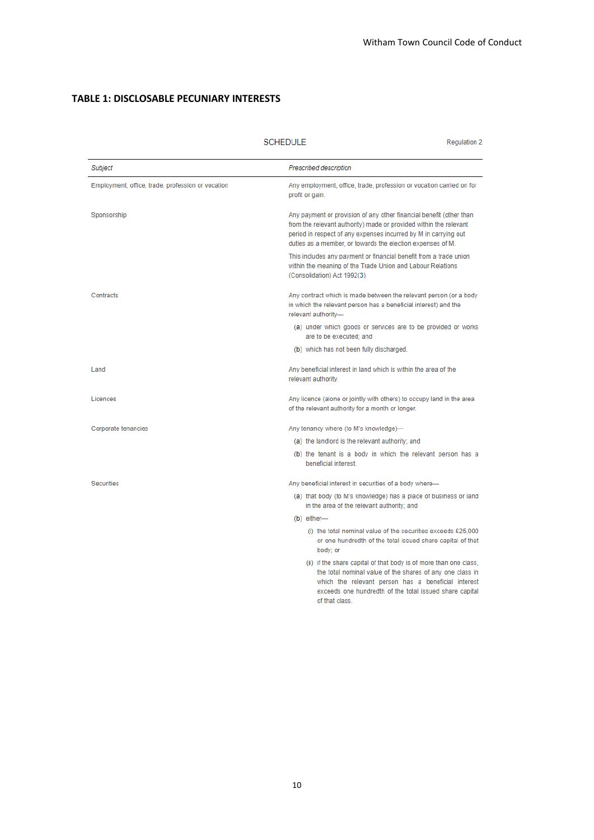# **TABLE 1: DISCLOSABLE PECUNIARY INTERESTS**

|                                                   | <b>SCHEDULE</b>                                                                                                                                                 | <b>Regulation 2</b>                                                                                                                                                                                                                                                       |  |
|---------------------------------------------------|-----------------------------------------------------------------------------------------------------------------------------------------------------------------|---------------------------------------------------------------------------------------------------------------------------------------------------------------------------------------------------------------------------------------------------------------------------|--|
| Subject                                           | <b>Prescribed description</b>                                                                                                                                   |                                                                                                                                                                                                                                                                           |  |
| Employment, office, trade, profession or vocation | Any employment, office, trade, profession or vocation carried on for<br>profit or gain.                                                                         |                                                                                                                                                                                                                                                                           |  |
| Sponsorship                                       |                                                                                                                                                                 | Any payment or provision of any other financial benefit (other than<br>from the relevant authority) made or provided within the relevant<br>period in respect of any expenses incurred by M in carrying out<br>duties as a member, or towards the election expenses of M. |  |
|                                                   | This includes any payment or financial benefit from a trade union<br>within the meaning of the Trade Union and Labour Relations<br>(Consolidation) Act 1992(3). |                                                                                                                                                                                                                                                                           |  |
| Contracts                                         | relevant authority-                                                                                                                                             | Any contract which is made between the relevant person (or a body<br>in which the relevant person has a beneficial interest) and the                                                                                                                                      |  |
|                                                   | (a) under which goods or services are to be provided or works<br>are to be executed; and                                                                        |                                                                                                                                                                                                                                                                           |  |
|                                                   | (b) which has not been fully discharged.                                                                                                                        |                                                                                                                                                                                                                                                                           |  |
| Land                                              | Any beneficial interest in land which is within the area of the<br>relevant authority.                                                                          |                                                                                                                                                                                                                                                                           |  |
| Licences                                          |                                                                                                                                                                 | Any licence (alone or jointly with others) to occupy land in the area<br>of the relevant authority for a month or longer.                                                                                                                                                 |  |
| Corporate tenancies                               | Any tenancy where (to M's knowledge)-                                                                                                                           |                                                                                                                                                                                                                                                                           |  |
|                                                   | (a) the landlord is the relevant authority; and                                                                                                                 |                                                                                                                                                                                                                                                                           |  |
|                                                   | (b) the tenant is a body in which the relevant person has a<br>beneficial interest.                                                                             |                                                                                                                                                                                                                                                                           |  |
| <b>Securities</b>                                 | Any beneficial interest in securities of a body where-                                                                                                          |                                                                                                                                                                                                                                                                           |  |
|                                                   | (a) that body (to M's knowledge) has a place of business or land<br>in the area of the relevant authority; and                                                  |                                                                                                                                                                                                                                                                           |  |
|                                                   | (b) either-                                                                                                                                                     |                                                                                                                                                                                                                                                                           |  |
|                                                   | body; or                                                                                                                                                        | (i) the total nominal value of the securities exceeds £25,000<br>or one hundredth of the total issued share capital of that                                                                                                                                               |  |
|                                                   | of that class.                                                                                                                                                  | (ii) if the share capital of that body is of more than one class,<br>the total nominal value of the shares of any one class in<br>which the relevant person has a beneficial interest<br>exceeds one hundredth of the total issued share capital                          |  |
|                                                   |                                                                                                                                                                 |                                                                                                                                                                                                                                                                           |  |

# SCHEDULE

10